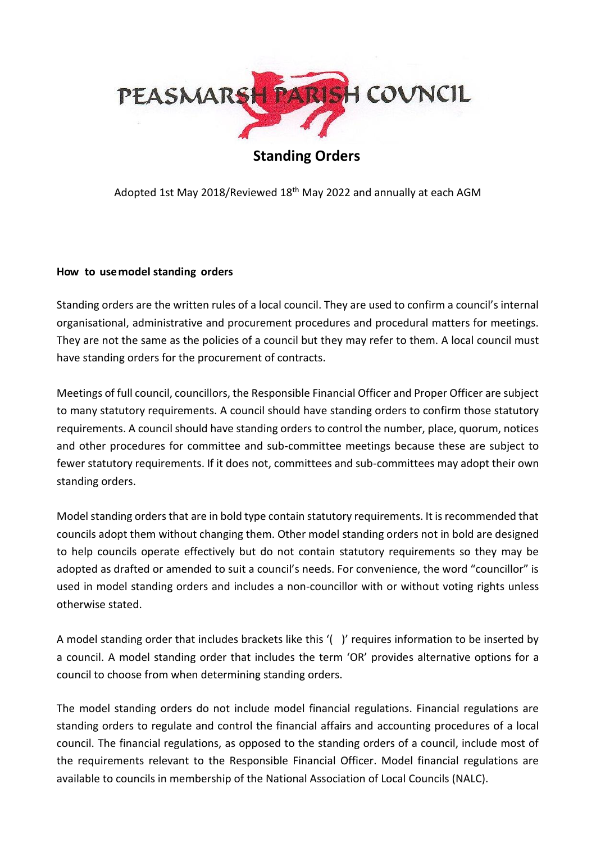

Adopted 1st May 2018/Reviewed 18th May 2022 and annually at each AGM

#### **How to usemodel standing orders**

Standing orders are the written rules of a local council. They are used to confirm a council's internal organisational, administrative and procurement procedures and procedural matters for meetings. They are not the same as the policies of a council but they may refer to them. A local council must have standing orders for the procurement of contracts.

Meetings of full council, councillors, the Responsible Financial Officer and Proper Officer are subject to many statutory requirements. A council should have standing orders to confirm those statutory requirements. A council should have standing orders to control the number, place, quorum, notices and other procedures for committee and sub-committee meetings because these are subject to fewer statutory requirements. If it does not, committees and sub-committees may adopt their own standing orders.

Model standing orders that are in bold type contain statutory requirements. It is recommended that councils adopt them without changing them. Other model standing orders not in bold are designed to help councils operate effectively but do not contain statutory requirements so they may be adopted as drafted or amended to suit a council's needs. For convenience, the word "councillor" is used in model standing orders and includes a non-councillor with or without voting rights unless otherwise stated.

A model standing order that includes brackets like this '( )' requires information to be inserted by a council. A model standing order that includes the term 'OR' provides alternative options for a council to choose from when determining standing orders.

The model standing orders do not include model financial regulations. Financial regulations are standing orders to regulate and control the financial affairs and accounting procedures of a local council. The financial regulations, as opposed to the standing orders of a council, include most of the requirements relevant to the Responsible Financial Officer. Model financial regulations are available to councils in membership of the National Association of Local Councils (NALC).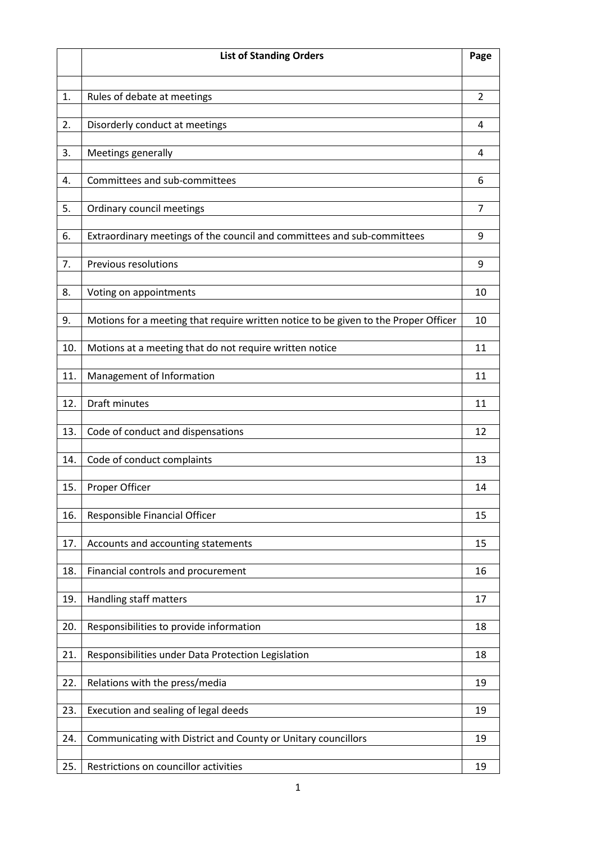|     | <b>List of Standing Orders</b>                                                      | Page           |
|-----|-------------------------------------------------------------------------------------|----------------|
|     |                                                                                     |                |
| 1.  | Rules of debate at meetings                                                         | $\overline{2}$ |
| 2.  | Disorderly conduct at meetings                                                      | 4              |
| 3.  | Meetings generally                                                                  | 4              |
| 4.  | Committees and sub-committees                                                       | 6              |
| 5.  | Ordinary council meetings                                                           | 7              |
|     |                                                                                     |                |
| 6.  | Extraordinary meetings of the council and committees and sub-committees             | 9              |
| 7.  | Previous resolutions                                                                | 9              |
| 8.  | Voting on appointments                                                              | 10             |
| 9.  | Motions for a meeting that require written notice to be given to the Proper Officer | 10             |
| 10. | Motions at a meeting that do not require written notice                             | 11             |
| 11. | Management of Information                                                           | 11             |
| 12. | <b>Draft minutes</b>                                                                | 11             |
|     |                                                                                     |                |
| 13. | Code of conduct and dispensations                                                   | 12             |
| 14. | Code of conduct complaints                                                          | 13             |
| 15. | Proper Officer                                                                      | 14             |
| 16. | Responsible Financial Officer                                                       | 15             |
| 17. | Accounts and accounting statements                                                  | 15             |
| 18. | Financial controls and procurement                                                  | 16             |
| 19. | Handling staff matters                                                              | 17             |
|     |                                                                                     |                |
| 20. | Responsibilities to provide information                                             | 18             |
| 21. | Responsibilities under Data Protection Legislation                                  | 18             |
| 22. | Relations with the press/media                                                      | 19             |
| 23. | Execution and sealing of legal deeds                                                | 19             |
| 24. | Communicating with District and County or Unitary councillors                       | 19             |
|     |                                                                                     |                |
| 25. | Restrictions on councillor activities                                               | 19             |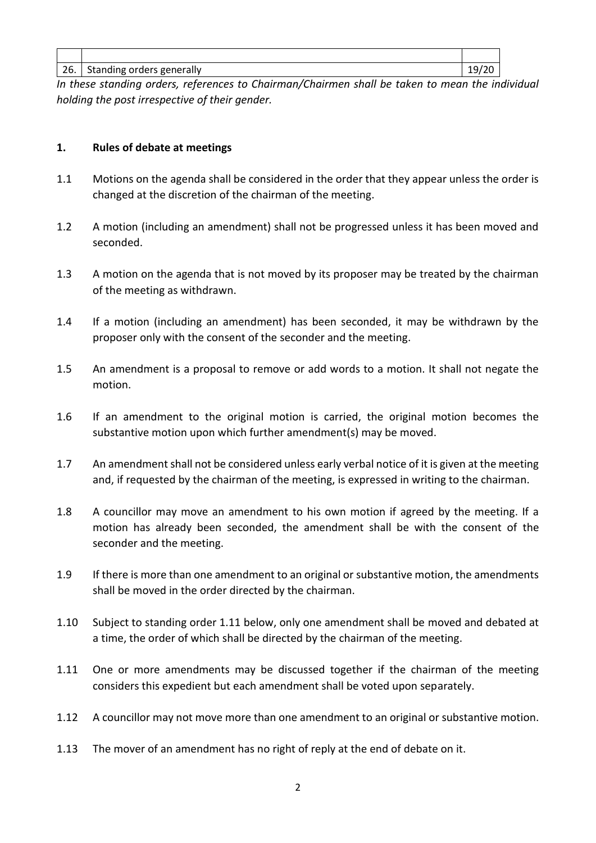| 26. Standing orders generally | 19/20 |
|-------------------------------|-------|

*In these standing orders, references to Chairman/Chairmen shall be taken to mean the individual holding the post irrespective of their gender.* 

#### **1. Rules of debate at meetings**

- 1.1 Motions on the agenda shall be considered in the order that they appear unless the order is changed at the discretion of the chairman of the meeting.
- 1.2 A motion (including an amendment) shall not be progressed unless it has been moved and seconded.
- 1.3 A motion on the agenda that is not moved by its proposer may be treated by the chairman of the meeting as withdrawn.
- 1.4 If a motion (including an amendment) has been seconded, it may be withdrawn by the proposer only with the consent of the seconder and the meeting.
- 1.5 An amendment is a proposal to remove or add words to a motion. It shall not negate the motion.
- 1.6 If an amendment to the original motion is carried, the original motion becomes the substantive motion upon which further amendment(s) may be moved.
- 1.7 An amendment shall not be considered unless early verbal notice of it is given at the meeting and, if requested by the chairman of the meeting, is expressed in writing to the chairman.
- 1.8 A councillor may move an amendment to his own motion if agreed by the meeting. If a motion has already been seconded, the amendment shall be with the consent of the seconder and the meeting.
- 1.9 If there is more than one amendment to an original or substantive motion, the amendments shall be moved in the order directed by the chairman.
- 1.10 Subject to standing order 1.11 below, only one amendment shall be moved and debated at a time, the order of which shall be directed by the chairman of the meeting.
- 1.11 One or more amendments may be discussed together if the chairman of the meeting considers this expedient but each amendment shall be voted upon separately.
- 1.12 A councillor may not move more than one amendment to an original or substantive motion.
- 1.13 The mover of an amendment has no right of reply at the end of debate on it.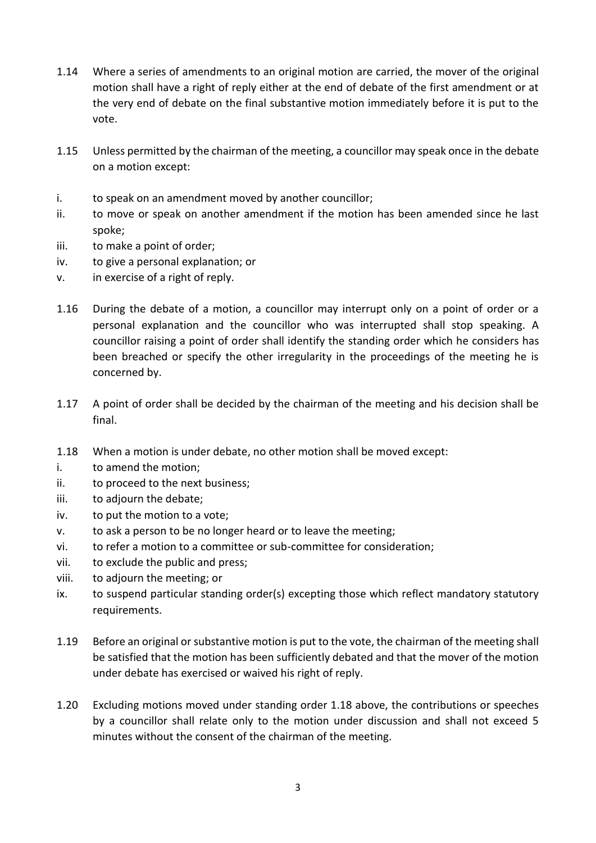- 1.14 Where a series of amendments to an original motion are carried, the mover of the original motion shall have a right of reply either at the end of debate of the first amendment or at the very end of debate on the final substantive motion immediately before it is put to the vote.
- 1.15 Unless permitted by the chairman of the meeting, a councillor may speak once in the debate on a motion except:
- i. to speak on an amendment moved by another councillor;
- ii. to move or speak on another amendment if the motion has been amended since he last spoke;
- iii. to make a point of order;
- iv. to give a personal explanation; or
- v. in exercise of a right of reply.
- 1.16 During the debate of a motion, a councillor may interrupt only on a point of order or a personal explanation and the councillor who was interrupted shall stop speaking. A councillor raising a point of order shall identify the standing order which he considers has been breached or specify the other irregularity in the proceedings of the meeting he is concerned by.
- 1.17 A point of order shall be decided by the chairman of the meeting and his decision shall be final.
- 1.18 When a motion is under debate, no other motion shall be moved except:
- i. to amend the motion;
- ii. to proceed to the next business;
- iii. to adjourn the debate;
- iv. to put the motion to a vote;
- v. to ask a person to be no longer heard or to leave the meeting;
- vi. to refer a motion to a committee or sub-committee for consideration;
- vii. to exclude the public and press;
- viii. to adjourn the meeting; or
- ix. to suspend particular standing order(s) excepting those which reflect mandatory statutory requirements.
- 1.19 Before an original or substantive motion is put to the vote, the chairman of the meeting shall be satisfied that the motion has been sufficiently debated and that the mover of the motion under debate has exercised or waived his right of reply.
- 1.20 Excluding motions moved under standing order 1.18 above, the contributions or speeches by a councillor shall relate only to the motion under discussion and shall not exceed 5 minutes without the consent of the chairman of the meeting.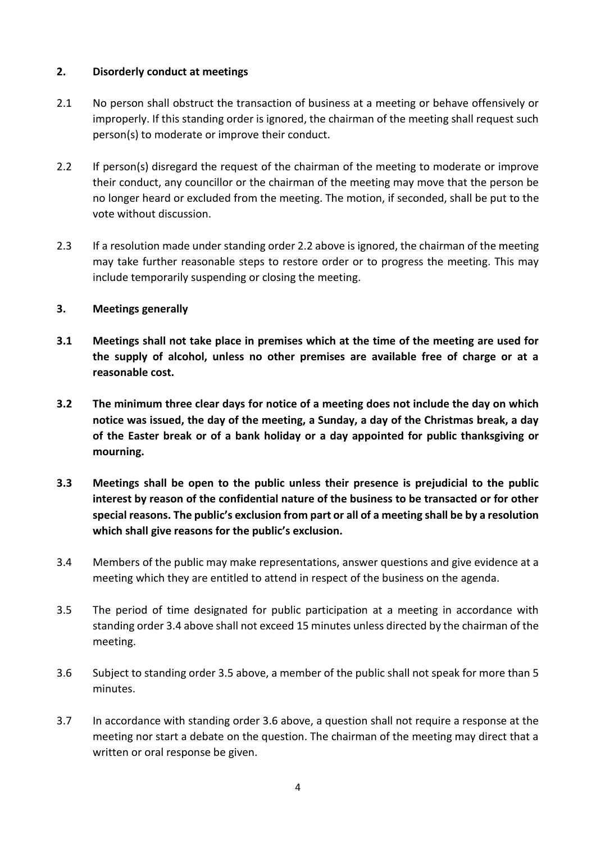#### **2. Disorderly conduct at meetings**

- 2.1 No person shall obstruct the transaction of business at a meeting or behave offensively or improperly. If this standing order is ignored, the chairman of the meeting shall request such person(s) to moderate or improve their conduct.
- 2.2 If person(s) disregard the request of the chairman of the meeting to moderate or improve their conduct, any councillor or the chairman of the meeting may move that the person be no longer heard or excluded from the meeting. The motion, if seconded, shall be put to the vote without discussion.
- 2.3 If a resolution made under standing order 2.2 above is ignored, the chairman of the meeting may take further reasonable steps to restore order or to progress the meeting. This may include temporarily suspending or closing the meeting.

## **3. Meetings generally**

- **3.1 Meetings shall not take place in premises which at the time of the meeting are used for the supply of alcohol, unless no other premises are available free of charge or at a reasonable cost.**
- **3.2 The minimum three clear days for notice of a meeting does not include the day on which notice was issued, the day of the meeting, a Sunday, a day of the Christmas break, a day of the Easter break or of a bank holiday or a day appointed for public thanksgiving or mourning.**
- **3.3 Meetings shall be open to the public unless their presence is prejudicial to the public interest by reason of the confidential nature of the business to be transacted or for other special reasons. The public's exclusion from part or all of a meeting shall be by a resolution which shall give reasons for the public's exclusion.**
- 3.4 Members of the public may make representations, answer questions and give evidence at a meeting which they are entitled to attend in respect of the business on the agenda.
- 3.5 The period of time designated for public participation at a meeting in accordance with standing order 3.4 above shall not exceed 15 minutes unless directed by the chairman of the meeting.
- 3.6 Subject to standing order 3.5 above, a member of the public shall not speak for more than 5 minutes.
- 3.7 In accordance with standing order 3.6 above, a question shall not require a response at the meeting nor start a debate on the question. The chairman of the meeting may direct that a written or oral response be given.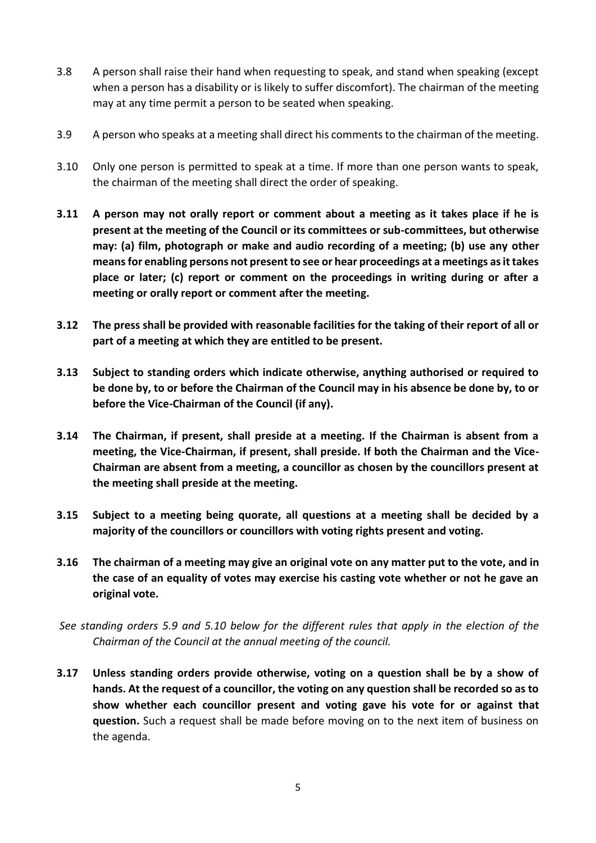- 3.8 A person shall raise their hand when requesting to speak, and stand when speaking (except when a person has a disability or is likely to suffer discomfort). The chairman of the meeting may at any time permit a person to be seated when speaking.
- 3.9 A person who speaks at a meeting shall direct his comments to the chairman of the meeting.
- 3.10 Only one person is permitted to speak at a time. If more than one person wants to speak, the chairman of the meeting shall direct the order of speaking.
- **3.11 A person may not orally report or comment about a meeting as it takes place if he is present at the meeting of the Council or its committees or sub-committees, but otherwise may: (a) film, photograph or make and audio recording of a meeting; (b) use any other means for enabling persons not present to see or hear proceedings at a meetings as it takes place or later; (c) report or comment on the proceedings in writing during or after a meeting or orally report or comment after the meeting.**
- **3.12 The press shall be provided with reasonable facilities for the taking of their report of all or part of a meeting at which they are entitled to be present.**
- **3.13 Subject to standing orders which indicate otherwise, anything authorised or required to be done by, to or before the Chairman of the Council may in his absence be done by, to or before the Vice-Chairman of the Council (if any).**
- **3.14 The Chairman, if present, shall preside at a meeting. If the Chairman is absent from a meeting, the Vice-Chairman, if present, shall preside. If both the Chairman and the Vice-Chairman are absent from a meeting, a councillor as chosen by the councillors present at the meeting shall preside at the meeting.**
- **3.15 Subject to a meeting being quorate, all questions at a meeting shall be decided by a majority of the councillors or councillors with voting rights present and voting.**
- **3.16 The chairman of a meeting may give an original vote on any matter put to the vote, and in the case of an equality of votes may exercise his casting vote whether or not he gave an original vote.**
- *See standing orders 5.9 and 5.10 below for the different rules that apply in the election of the Chairman of the Council at the annual meeting of the council.*
- **3.17 Unless standing orders provide otherwise, voting on a question shall be by a show of hands. At the request of a councillor, the voting on any question shall be recorded so as to show whether each councillor present and voting gave his vote for or against that question.** Such a request shall be made before moving on to the next item of business on the agenda.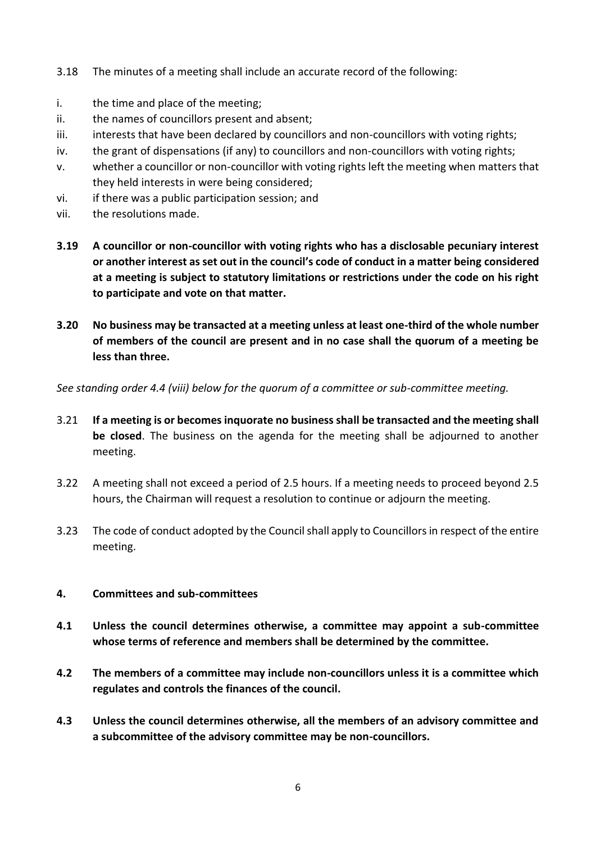- 3.18 The minutes of a meeting shall include an accurate record of the following:
- i. the time and place of the meeting;
- ii. the names of councillors present and absent;
- iii. interests that have been declared by councillors and non-councillors with voting rights;
- iv. the grant of dispensations (if any) to councillors and non-councillors with voting rights;
- v. whether a councillor or non-councillor with voting rights left the meeting when matters that they held interests in were being considered;
- vi. if there was a public participation session; and
- vii. the resolutions made.
- **3.19 A councillor or non-councillor with voting rights who has a disclosable pecuniary interest or another interest as set out in the council's code of conduct in a matter being considered at a meeting is subject to statutory limitations or restrictions under the code on his right to participate and vote on that matter.**
- **3.20 No business may be transacted at a meeting unless at least one-third of the whole number of members of the council are present and in no case shall the quorum of a meeting be less than three.**

*See standing order 4.4 (viii) below for the quorum of a committee or sub-committee meeting.*

- 3.21 **If a meeting is or becomes inquorate no business shall be transacted and the meeting shall be closed**. The business on the agenda for the meeting shall be adjourned to another meeting.
- 3.22 A meeting shall not exceed a period of 2.5 hours. If a meeting needs to proceed beyond 2.5 hours, the Chairman will request a resolution to continue or adjourn the meeting.
- 3.23 The code of conduct adopted by the Council shall apply to Councillors in respect of the entire meeting.

#### **4. Committees and sub-committees**

- **4.1 Unless the council determines otherwise, a committee may appoint a sub-committee whose terms of reference and members shall be determined by the committee.**
- **4.2 The members of a committee may include non-councillors unless it is a committee which regulates and controls the finances of the council.**
- **4.3 Unless the council determines otherwise, all the members of an advisory committee and a subcommittee of the advisory committee may be non-councillors.**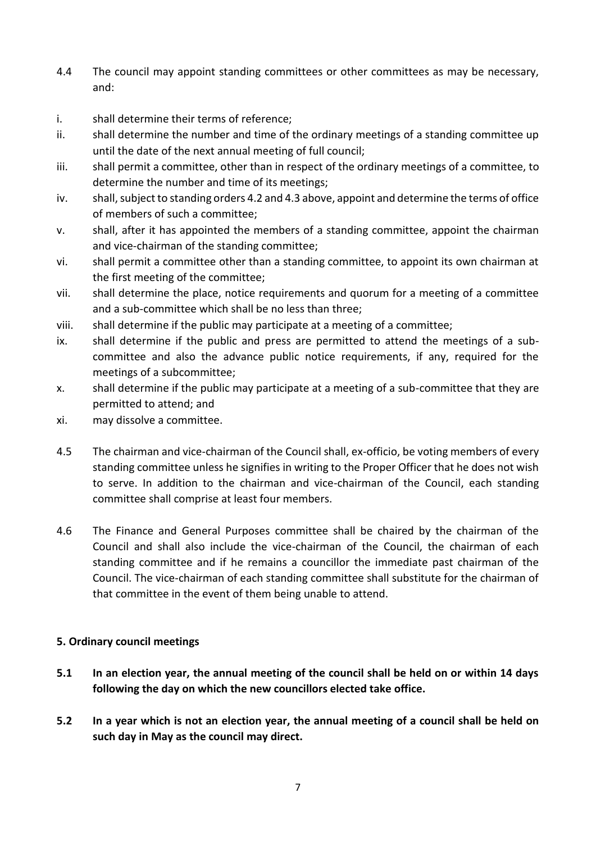- 4.4 The council may appoint standing committees or other committees as may be necessary, and:
- i. shall determine their terms of reference;
- ii. shall determine the number and time of the ordinary meetings of a standing committee up until the date of the next annual meeting of full council;
- iii. shall permit a committee, other than in respect of the ordinary meetings of a committee, to determine the number and time of its meetings;
- iv. shall, subject to standing orders 4.2 and 4.3 above, appoint and determine the terms of office of members of such a committee;
- v. shall, after it has appointed the members of a standing committee, appoint the chairman and vice-chairman of the standing committee;
- vi. shall permit a committee other than a standing committee, to appoint its own chairman at the first meeting of the committee;
- vii. shall determine the place, notice requirements and quorum for a meeting of a committee and a sub-committee which shall be no less than three;
- viii. shall determine if the public may participate at a meeting of a committee;
- ix. shall determine if the public and press are permitted to attend the meetings of a subcommittee and also the advance public notice requirements, if any, required for the meetings of a subcommittee;
- x. shall determine if the public may participate at a meeting of a sub-committee that they are permitted to attend; and
- xi. may dissolve a committee.
- 4.5 The chairman and vice-chairman of the Council shall, ex-officio, be voting members of every standing committee unless he signifies in writing to the Proper Officer that he does not wish to serve. In addition to the chairman and vice-chairman of the Council, each standing committee shall comprise at least four members.
- 4.6 The Finance and General Purposes committee shall be chaired by the chairman of the Council and shall also include the vice-chairman of the Council, the chairman of each standing committee and if he remains a councillor the immediate past chairman of the Council. The vice-chairman of each standing committee shall substitute for the chairman of that committee in the event of them being unable to attend.

#### **5. Ordinary council meetings**

- **5.1 In an election year, the annual meeting of the council shall be held on or within 14 days following the day on which the new councillors elected take office.**
- **5.2 In a year which is not an election year, the annual meeting of a council shall be held on such day in May as the council may direct.**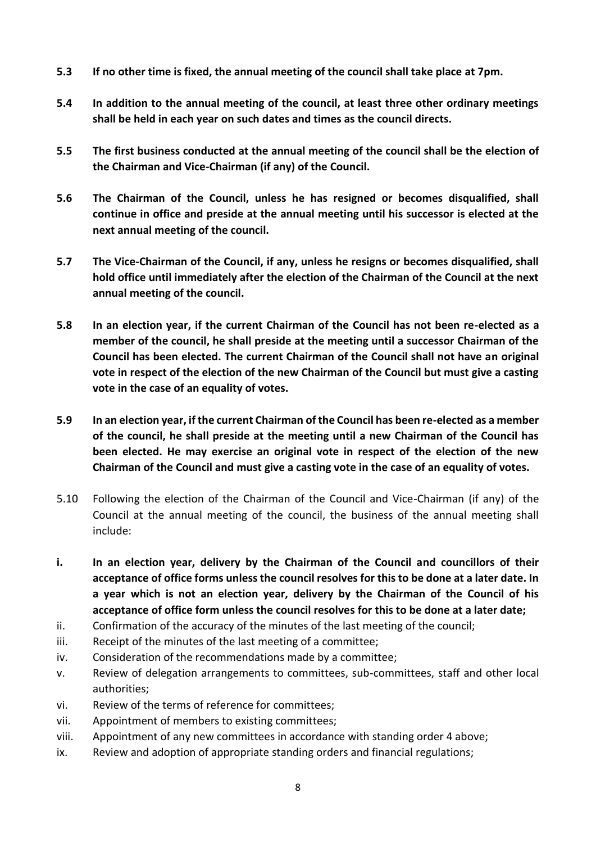- **5.3 If no other time is fixed, the annual meeting of the council shall take place at 7pm.**
- **5.4 In addition to the annual meeting of the council, at least three other ordinary meetings shall be held in each year on such dates and times as the council directs.**
- **5.5 The first business conducted at the annual meeting of the council shall be the election of the Chairman and Vice-Chairman (if any) of the Council.**
- **5.6 The Chairman of the Council, unless he has resigned or becomes disqualified, shall continue in office and preside at the annual meeting until his successor is elected at the next annual meeting of the council.**
- **5.7 The Vice-Chairman of the Council, if any, unless he resigns or becomes disqualified, shall hold office until immediately after the election of the Chairman of the Council at the next annual meeting of the council.**
- **5.8 In an election year, if the current Chairman of the Council has not been re-elected as a member of the council, he shall preside at the meeting until a successor Chairman of the Council has been elected. The current Chairman of the Council shall not have an original vote in respect of the election of the new Chairman of the Council but must give a casting vote in the case of an equality of votes.**
- **5.9 In an election year, if the current Chairman of the Council has been re-elected as a member of the council, he shall preside at the meeting until a new Chairman of the Council has been elected. He may exercise an original vote in respect of the election of the new Chairman of the Council and must give a casting vote in the case of an equality of votes.**
- 5.10 Following the election of the Chairman of the Council and Vice-Chairman (if any) of the Council at the annual meeting of the council, the business of the annual meeting shall include:
- **i. In an election year, delivery by the Chairman of the Council and councillors of their acceptance of office forms unless the council resolves for this to be done at a later date. In a year which is not an election year, delivery by the Chairman of the Council of his acceptance of office form unless the council resolves for this to be done at a later date;**
- ii. Confirmation of the accuracy of the minutes of the last meeting of the council;
- iii. Receipt of the minutes of the last meeting of a committee;
- iv. Consideration of the recommendations made by a committee;
- v. Review of delegation arrangements to committees, sub-committees, staff and other local authorities;
- vi. Review of the terms of reference for committees;
- vii. Appointment of members to existing committees;
- viii. Appointment of any new committees in accordance with standing order 4 above;
- ix. Review and adoption of appropriate standing orders and financial regulations;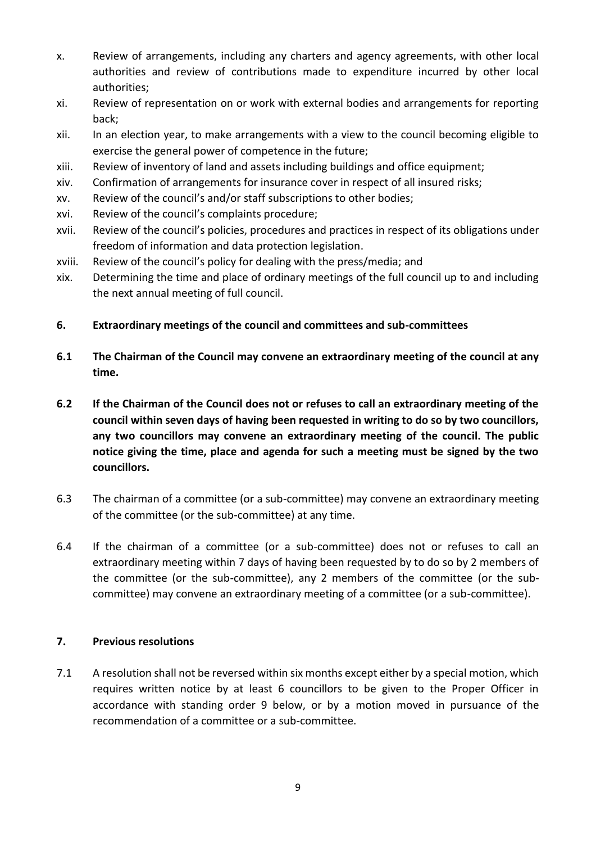- x. Review of arrangements, including any charters and agency agreements, with other local authorities and review of contributions made to expenditure incurred by other local authorities;
- xi. Review of representation on or work with external bodies and arrangements for reporting back;
- xii. In an election year, to make arrangements with a view to the council becoming eligible to exercise the general power of competence in the future;
- xiii. Review of inventory of land and assets including buildings and office equipment;
- xiv. Confirmation of arrangements for insurance cover in respect of all insured risks;
- xv. Review of the council's and/or staff subscriptions to other bodies;
- xvi. Review of the council's complaints procedure;
- xvii. Review of the council's policies, procedures and practices in respect of its obligations under freedom of information and data protection legislation.
- xviii. Review of the council's policy for dealing with the press/media; and
- xix. Determining the time and place of ordinary meetings of the full council up to and including the next annual meeting of full council.
- **6. Extraordinary meetings of the council and committees and sub-committees**
- **6.1 The Chairman of the Council may convene an extraordinary meeting of the council at any time.**
- **6.2 If the Chairman of the Council does not or refuses to call an extraordinary meeting of the council within seven days of having been requested in writing to do so by two councillors, any two councillors may convene an extraordinary meeting of the council. The public notice giving the time, place and agenda for such a meeting must be signed by the two councillors.**
- 6.3 The chairman of a committee (or a sub-committee) may convene an extraordinary meeting of the committee (or the sub-committee) at any time.
- 6.4 If the chairman of a committee (or a sub-committee) does not or refuses to call an extraordinary meeting within 7 days of having been requested by to do so by 2 members of the committee (or the sub-committee), any 2 members of the committee (or the subcommittee) may convene an extraordinary meeting of a committee (or a sub-committee).

## **7. Previous resolutions**

7.1 A resolution shall not be reversed within six months except either by a special motion, which requires written notice by at least 6 councillors to be given to the Proper Officer in accordance with standing order 9 below, or by a motion moved in pursuance of the recommendation of a committee or a sub-committee.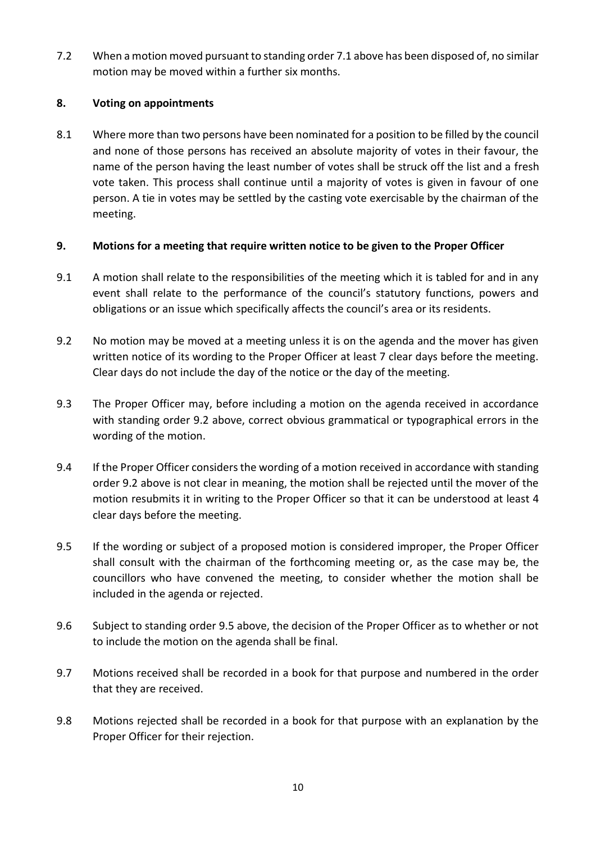7.2 When a motion moved pursuant to standing order 7.1 above has been disposed of, no similar motion may be moved within a further six months.

## **8. Voting on appointments**

8.1 Where more than two persons have been nominated for a position to be filled by the council and none of those persons has received an absolute majority of votes in their favour, the name of the person having the least number of votes shall be struck off the list and a fresh vote taken. This process shall continue until a majority of votes is given in favour of one person. A tie in votes may be settled by the casting vote exercisable by the chairman of the meeting.

# **9. Motions for a meeting that require written notice to be given to the Proper Officer**

- 9.1 A motion shall relate to the responsibilities of the meeting which it is tabled for and in any event shall relate to the performance of the council's statutory functions, powers and obligations or an issue which specifically affects the council's area or its residents.
- 9.2 No motion may be moved at a meeting unless it is on the agenda and the mover has given written notice of its wording to the Proper Officer at least 7 clear days before the meeting. Clear days do not include the day of the notice or the day of the meeting.
- 9.3 The Proper Officer may, before including a motion on the agenda received in accordance with standing order 9.2 above, correct obvious grammatical or typographical errors in the wording of the motion.
- 9.4 If the Proper Officer considers the wording of a motion received in accordance with standing order 9.2 above is not clear in meaning, the motion shall be rejected until the mover of the motion resubmits it in writing to the Proper Officer so that it can be understood at least 4 clear days before the meeting.
- 9.5 If the wording or subject of a proposed motion is considered improper, the Proper Officer shall consult with the chairman of the forthcoming meeting or, as the case may be, the councillors who have convened the meeting, to consider whether the motion shall be included in the agenda or rejected.
- 9.6 Subject to standing order 9.5 above, the decision of the Proper Officer as to whether or not to include the motion on the agenda shall be final.
- 9.7 Motions received shall be recorded in a book for that purpose and numbered in the order that they are received.
- 9.8 Motions rejected shall be recorded in a book for that purpose with an explanation by the Proper Officer for their rejection.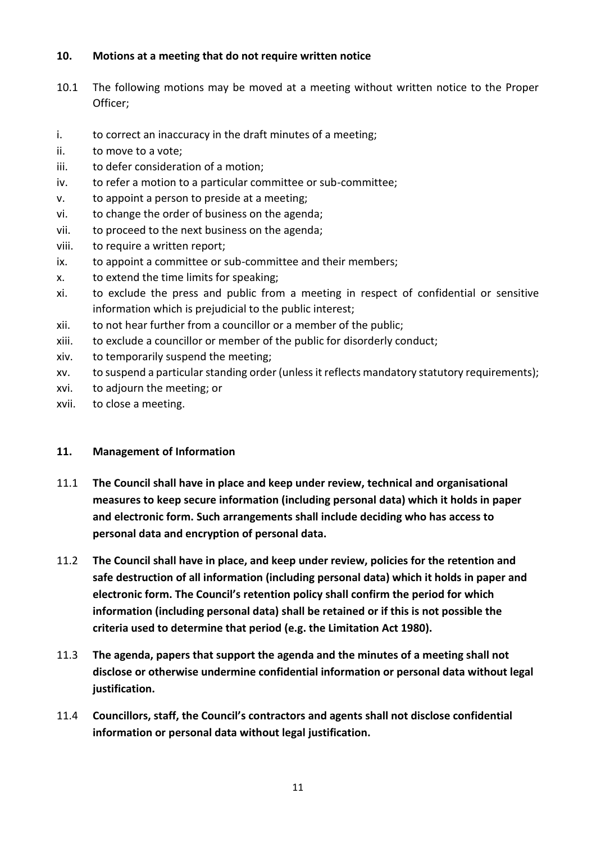#### **10. Motions at a meeting that do not require written notice**

- 10.1 The following motions may be moved at a meeting without written notice to the Proper Officer;
- i. to correct an inaccuracy in the draft minutes of a meeting;
- ii. to move to a vote;
- iii. to defer consideration of a motion;
- iv. to refer a motion to a particular committee or sub-committee;
- v. to appoint a person to preside at a meeting;
- vi. to change the order of business on the agenda;
- vii. to proceed to the next business on the agenda;
- viii. to require a written report;
- ix. to appoint a committee or sub-committee and their members;
- x. to extend the time limits for speaking;
- xi. to exclude the press and public from a meeting in respect of confidential or sensitive information which is prejudicial to the public interest;
- xii. to not hear further from a councillor or a member of the public;
- xiii. to exclude a councillor or member of the public for disorderly conduct;
- xiv. to temporarily suspend the meeting;
- xv. to suspend a particular standing order (unless it reflects mandatory statutory requirements);
- xvi. to adjourn the meeting; or
- xvii. to close a meeting.

#### **11. Management of Information**

- 11.1 **The Council shall have in place and keep under review, technical and organisational measures to keep secure information (including personal data) which it holds in paper and electronic form. Such arrangements shall include deciding who has access to personal data and encryption of personal data.**
- 11.2 **The Council shall have in place, and keep under review, policies for the retention and safe destruction of all information (including personal data) which it holds in paper and electronic form. The Council's retention policy shall confirm the period for which information (including personal data) shall be retained or if this is not possible the criteria used to determine that period (e.g. the Limitation Act 1980).**
- 11.3 **The agenda, papers that support the agenda and the minutes of a meeting shall not disclose or otherwise undermine confidential information or personal data without legal justification.**
- 11.4 **Councillors, staff, the Council's contractors and agents shall not disclose confidential information or personal data without legal justification.**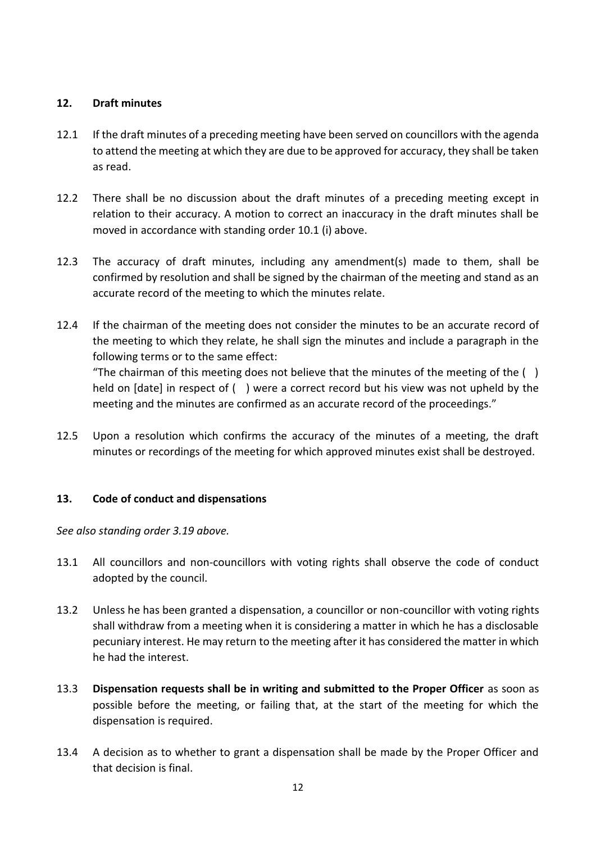## **12. Draft minutes**

- 12.1 If the draft minutes of a preceding meeting have been served on councillors with the agenda to attend the meeting at which they are due to be approved for accuracy, they shall be taken as read.
- 12.2 There shall be no discussion about the draft minutes of a preceding meeting except in relation to their accuracy. A motion to correct an inaccuracy in the draft minutes shall be moved in accordance with standing order 10.1 (i) above.
- 12.3 The accuracy of draft minutes, including any amendment(s) made to them, shall be confirmed by resolution and shall be signed by the chairman of the meeting and stand as an accurate record of the meeting to which the minutes relate.
- 12.4 If the chairman of the meeting does not consider the minutes to be an accurate record of the meeting to which they relate, he shall sign the minutes and include a paragraph in the following terms or to the same effect: "The chairman of this meeting does not believe that the minutes of the meeting of the  $( )$ held on [date] in respect of ( ) were a correct record but his view was not upheld by the meeting and the minutes are confirmed as an accurate record of the proceedings."
- 12.5 Upon a resolution which confirms the accuracy of the minutes of a meeting, the draft minutes or recordings of the meeting for which approved minutes exist shall be destroyed.

# **13. Code of conduct and dispensations**

*See also standing order 3.19 above.* 

- 13.1 All councillors and non-councillors with voting rights shall observe the code of conduct adopted by the council.
- 13.2 Unless he has been granted a dispensation, a councillor or non-councillor with voting rights shall withdraw from a meeting when it is considering a matter in which he has a disclosable pecuniary interest. He may return to the meeting after it has considered the matter in which he had the interest.
- 13.3 **Dispensation requests shall be in writing and submitted to the Proper Officer** as soon as possible before the meeting, or failing that, at the start of the meeting for which the dispensation is required.
- 13.4 A decision as to whether to grant a dispensation shall be made by the Proper Officer and that decision is final.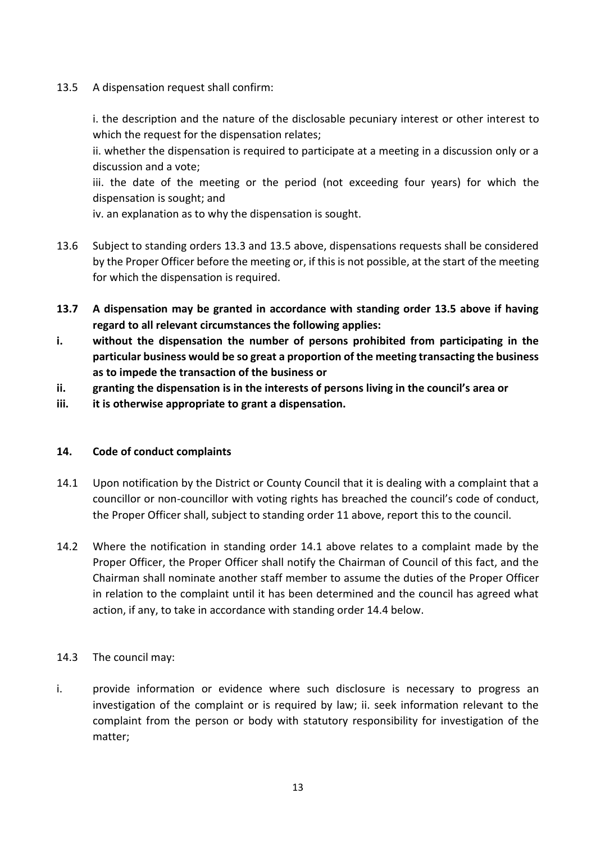13.5 A dispensation request shall confirm:

i. the description and the nature of the disclosable pecuniary interest or other interest to which the request for the dispensation relates;

ii. whether the dispensation is required to participate at a meeting in a discussion only or a discussion and a vote;

iii. the date of the meeting or the period (not exceeding four years) for which the dispensation is sought; and

iv. an explanation as to why the dispensation is sought.

- 13.6 Subject to standing orders 13.3 and 13.5 above, dispensations requests shall be considered by the Proper Officer before the meeting or, if this is not possible, at the start of the meeting for which the dispensation is required.
- **13.7 A dispensation may be granted in accordance with standing order 13.5 above if having regard to all relevant circumstances the following applies:**
- **i. without the dispensation the number of persons prohibited from participating in the particular business would be so great a proportion of the meeting transacting the business as to impede the transaction of the business or**
- **ii. granting the dispensation is in the interests of persons living in the council's area or**
- **iii. it is otherwise appropriate to grant a dispensation.**

## **14. Code of conduct complaints**

- 14.1 Upon notification by the District or County Council that it is dealing with a complaint that a councillor or non-councillor with voting rights has breached the council's code of conduct, the Proper Officer shall, subject to standing order 11 above, report this to the council.
- 14.2 Where the notification in standing order 14.1 above relates to a complaint made by the Proper Officer, the Proper Officer shall notify the Chairman of Council of this fact, and the Chairman shall nominate another staff member to assume the duties of the Proper Officer in relation to the complaint until it has been determined and the council has agreed what action, if any, to take in accordance with standing order 14.4 below.

#### 14.3 The council may:

i. provide information or evidence where such disclosure is necessary to progress an investigation of the complaint or is required by law; ii. seek information relevant to the complaint from the person or body with statutory responsibility for investigation of the matter;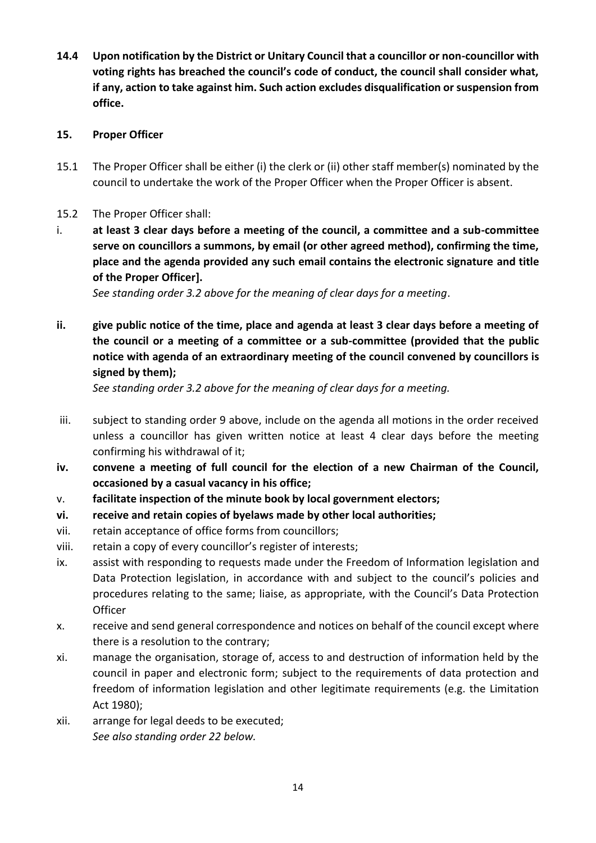**14.4 Upon notification by the District or Unitary Council that a councillor or non-councillor with voting rights has breached the council's code of conduct, the council shall consider what, if any, action to take against him. Such action excludes disqualification or suspension from office.** 

#### **15. Proper Officer**

- 15.1 The Proper Officer shall be either (i) the clerk or (ii) other staff member(s) nominated by the council to undertake the work of the Proper Officer when the Proper Officer is absent.
- 15.2 The Proper Officer shall:
- i. **at least 3 clear days before a meeting of the council, a committee and a sub-committee serve on councillors a summons, by email (or other agreed method), confirming the time, place and the agenda provided any such email contains the electronic signature and title of the Proper Officer].**

*See standing order 3.2 above for the meaning of clear days for a meeting*.

**ii. give public notice of the time, place and agenda at least 3 clear days before a meeting of the council or a meeting of a committee or a sub-committee (provided that the public notice with agenda of an extraordinary meeting of the council convened by councillors is signed by them);** 

*See standing order 3.2 above for the meaning of clear days for a meeting.*

- iii. subject to standing order 9 above, include on the agenda all motions in the order received unless a councillor has given written notice at least 4 clear days before the meeting confirming his withdrawal of it;
- **iv. convene a meeting of full council for the election of a new Chairman of the Council, occasioned by a casual vacancy in his office;**
- v. **facilitate inspection of the minute book by local government electors;**
- **vi. receive and retain copies of byelaws made by other local authorities;**
- vii. retain acceptance of office forms from councillors;
- viii. retain a copy of every councillor's register of interests;
- ix. assist with responding to requests made under the Freedom of Information legislation and Data Protection legislation, in accordance with and subject to the council's policies and procedures relating to the same; liaise, as appropriate, with the Council's Data Protection **Officer**
- x. receive and send general correspondence and notices on behalf of the council except where there is a resolution to the contrary;
- xi. manage the organisation, storage of, access to and destruction of information held by the council in paper and electronic form; subject to the requirements of data protection and freedom of information legislation and other legitimate requirements (e.g. the Limitation Act 1980);
- xii. arrange for legal deeds to be executed; *See also standing order 22 below.*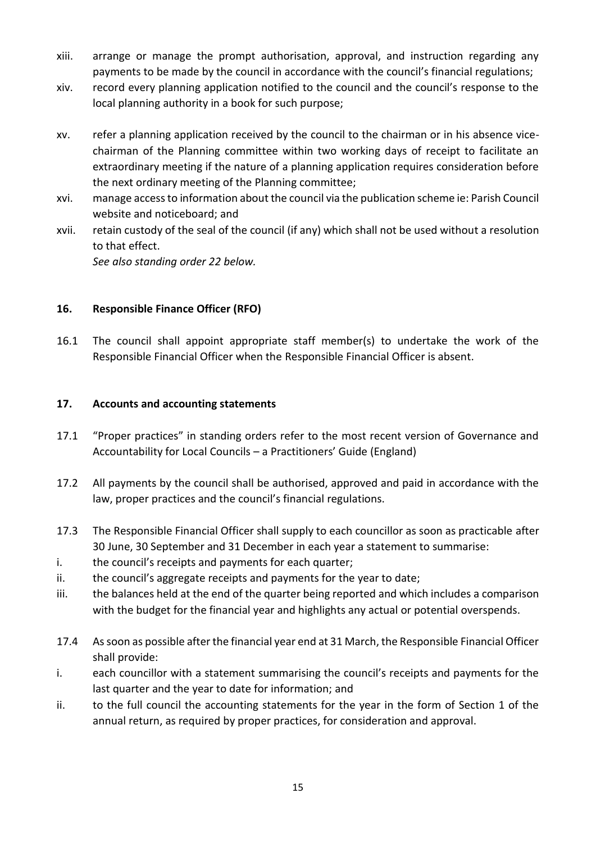- xiii. arrange or manage the prompt authorisation, approval, and instruction regarding any payments to be made by the council in accordance with the council's financial regulations;
- xiv. record every planning application notified to the council and the council's response to the local planning authority in a book for such purpose;
- xv. refer a planning application received by the council to the chairman or in his absence vicechairman of the Planning committee within two working days of receipt to facilitate an extraordinary meeting if the nature of a planning application requires consideration before the next ordinary meeting of the Planning committee;
- xvi. manage access to information about the council via the publication scheme ie: Parish Council website and noticeboard; and
- xvii. retain custody of the seal of the council (if any) which shall not be used without a resolution to that effect.

*See also standing order 22 below.*

# **16. Responsible Finance Officer (RFO)**

16.1 The council shall appoint appropriate staff member(s) to undertake the work of the Responsible Financial Officer when the Responsible Financial Officer is absent.

# **17. Accounts and accounting statements**

- 17.1 "Proper practices" in standing orders refer to the most recent version of Governance and Accountability for Local Councils – a Practitioners' Guide (England)
- 17.2 All payments by the council shall be authorised, approved and paid in accordance with the law, proper practices and the council's financial regulations.
- 17.3 The Responsible Financial Officer shall supply to each councillor as soon as practicable after 30 June, 30 September and 31 December in each year a statement to summarise:
- i. the council's receipts and payments for each quarter;
- ii. the council's aggregate receipts and payments for the year to date;
- iii. the balances held at the end of the quarter being reported and which includes a comparison with the budget for the financial year and highlights any actual or potential overspends.
- 17.4 As soon as possible after the financial year end at 31 March, the Responsible Financial Officer shall provide:
- i. each councillor with a statement summarising the council's receipts and payments for the last quarter and the year to date for information; and
- ii. to the full council the accounting statements for the year in the form of Section 1 of the annual return, as required by proper practices, for consideration and approval.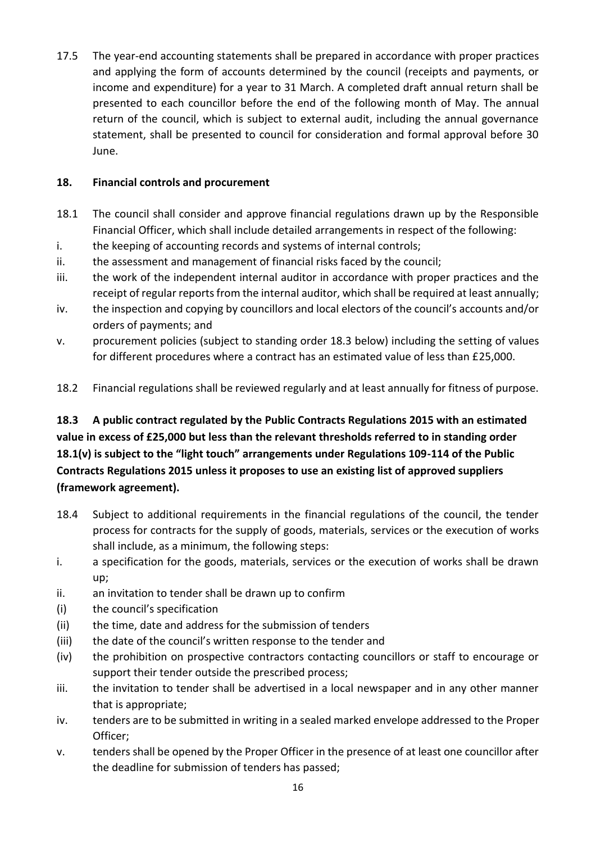17.5 The year-end accounting statements shall be prepared in accordance with proper practices and applying the form of accounts determined by the council (receipts and payments, or income and expenditure) for a year to 31 March. A completed draft annual return shall be presented to each councillor before the end of the following month of May. The annual return of the council, which is subject to external audit, including the annual governance statement, shall be presented to council for consideration and formal approval before 30 June.

# **18. Financial controls and procurement**

- 18.1 The council shall consider and approve financial regulations drawn up by the Responsible Financial Officer, which shall include detailed arrangements in respect of the following:
- i. the keeping of accounting records and systems of internal controls;
- ii. the assessment and management of financial risks faced by the council;
- iii. the work of the independent internal auditor in accordance with proper practices and the receipt of regular reports from the internal auditor, which shall be required at least annually;
- iv. the inspection and copying by councillors and local electors of the council's accounts and/or orders of payments; and
- v. procurement policies (subject to standing order 18.3 below) including the setting of values for different procedures where a contract has an estimated value of less than £25,000.
- 18.2 Financial regulations shall be reviewed regularly and at least annually for fitness of purpose.

# **18.3 A public contract regulated by the Public Contracts Regulations 2015 with an estimated value in excess of £25,000 but less than the relevant thresholds referred to in standing order 18.1(v) is subject to the "light touch" arrangements under Regulations 109-114 of the Public Contracts Regulations 2015 unless it proposes to use an existing list of approved suppliers (framework agreement).**

- 18.4 Subject to additional requirements in the financial regulations of the council, the tender process for contracts for the supply of goods, materials, services or the execution of works shall include, as a minimum, the following steps:
- i. a specification for the goods, materials, services or the execution of works shall be drawn up;
- ii. an invitation to tender shall be drawn up to confirm
- (i) the council's specification
- (ii) the time, date and address for the submission of tenders
- (iii) the date of the council's written response to the tender and
- (iv) the prohibition on prospective contractors contacting councillors or staff to encourage or support their tender outside the prescribed process;
- iii. the invitation to tender shall be advertised in a local newspaper and in any other manner that is appropriate;
- iv. tenders are to be submitted in writing in a sealed marked envelope addressed to the Proper Officer;
- v. tenders shall be opened by the Proper Officer in the presence of at least one councillor after the deadline for submission of tenders has passed;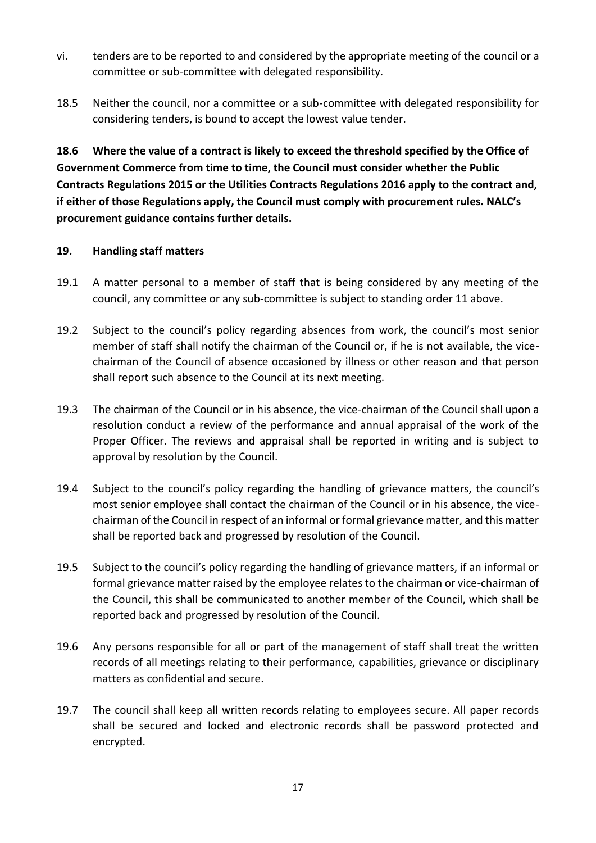- vi. tenders are to be reported to and considered by the appropriate meeting of the council or a committee or sub-committee with delegated responsibility.
- 18.5 Neither the council, nor a committee or a sub-committee with delegated responsibility for considering tenders, is bound to accept the lowest value tender.

**18.6 Where the value of a contract is likely to exceed the threshold specified by the Office of Government Commerce from time to time, the Council must consider whether the Public Contracts Regulations 2015 or the Utilities Contracts Regulations 2016 apply to the contract and, if either of those Regulations apply, the Council must comply with procurement rules. NALC's procurement guidance contains further details.**

## **19. Handling staff matters**

- 19.1 A matter personal to a member of staff that is being considered by any meeting of the council, any committee or any sub-committee is subject to standing order 11 above.
- 19.2 Subject to the council's policy regarding absences from work, the council's most senior member of staff shall notify the chairman of the Council or, if he is not available, the vicechairman of the Council of absence occasioned by illness or other reason and that person shall report such absence to the Council at its next meeting.
- 19.3 The chairman of the Council or in his absence, the vice-chairman of the Council shall upon a resolution conduct a review of the performance and annual appraisal of the work of the Proper Officer. The reviews and appraisal shall be reported in writing and is subject to approval by resolution by the Council.
- 19.4 Subject to the council's policy regarding the handling of grievance matters, the council's most senior employee shall contact the chairman of the Council or in his absence, the vicechairman of the Council in respect of an informal or formal grievance matter, and this matter shall be reported back and progressed by resolution of the Council.
- 19.5 Subject to the council's policy regarding the handling of grievance matters, if an informal or formal grievance matter raised by the employee relates to the chairman or vice-chairman of the Council, this shall be communicated to another member of the Council, which shall be reported back and progressed by resolution of the Council.
- 19.6 Any persons responsible for all or part of the management of staff shall treat the written records of all meetings relating to their performance, capabilities, grievance or disciplinary matters as confidential and secure.
- 19.7 The council shall keep all written records relating to employees secure. All paper records shall be secured and locked and electronic records shall be password protected and encrypted.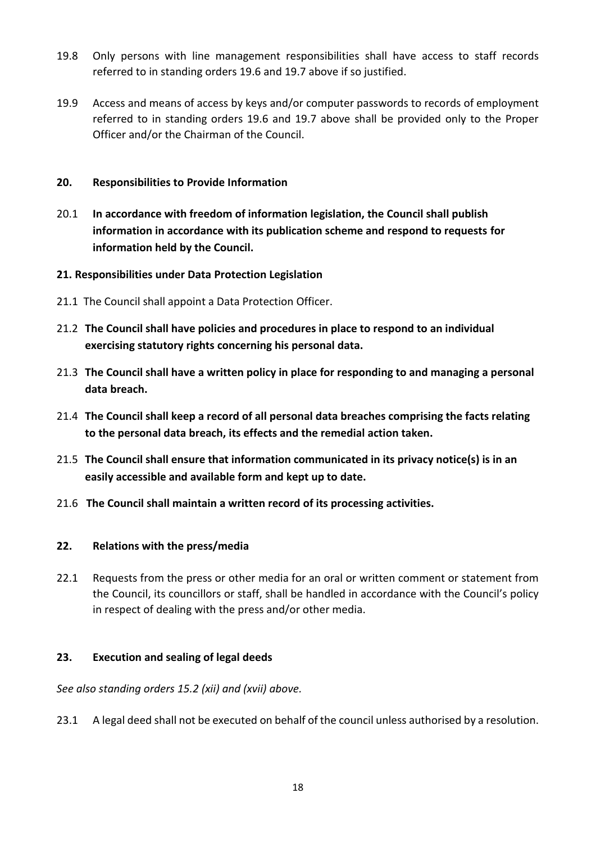- 19.8 Only persons with line management responsibilities shall have access to staff records referred to in standing orders 19.6 and 19.7 above if so justified.
- 19.9 Access and means of access by keys and/or computer passwords to records of employment referred to in standing orders 19.6 and 19.7 above shall be provided only to the Proper Officer and/or the Chairman of the Council.

## **20. Responsibilities to Provide Information**

20.1 **In accordance with freedom of information legislation, the Council shall publish information in accordance with its publication scheme and respond to requests for information held by the Council.** 

#### **21. Responsibilities under Data Protection Legislation**

- 21.1 The Council shall appoint a Data Protection Officer.
- 21.2 **The Council shall have policies and procedures in place to respond to an individual exercising statutory rights concerning his personal data.**
- 21.3 **The Council shall have a written policy in place for responding to and managing a personal data breach.**
- 21.4 **The Council shall keep a record of all personal data breaches comprising the facts relating to the personal data breach, its effects and the remedial action taken.**
- 21.5 **The Council shall ensure that information communicated in its privacy notice(s) is in an easily accessible and available form and kept up to date.**
- 21.6 **The Council shall maintain a written record of its processing activities.**

#### **22. Relations with the press/media**

22.1 Requests from the press or other media for an oral or written comment or statement from the Council, its councillors or staff, shall be handled in accordance with the Council's policy in respect of dealing with the press and/or other media.

#### **23. Execution and sealing of legal deeds**

*See also standing orders 15.2 (xii) and (xvii) above.* 

23.1 A legal deed shall not be executed on behalf of the council unless authorised by a resolution.